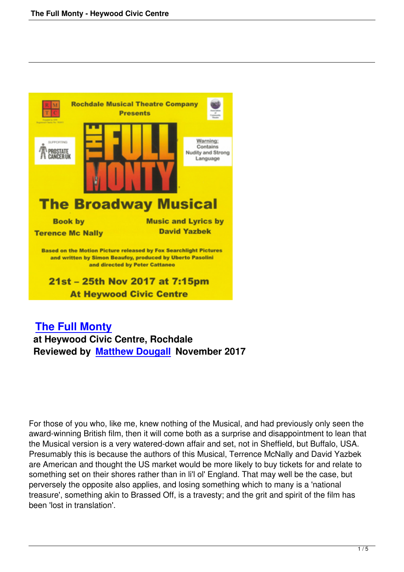

## **The Full Monty at Heywood Civic Centre, Rochdale [Reviewed by Matt](the-full-monty-heywood-civic-centre.html)hew Dougall November 2017**

For those of you who, like me, knew nothing of the Musical, and had previously only seen the award-winning British film, then it will come both as a surprise and disappointment to lean that the Musical version is a very watered-down affair and set, not in Sheffield, but Buffalo, USA. Presumably this is because the authors of this Musical, Terrence McNally and David Yazbek are American and thought the US market would be more likely to buy tickets for and relate to something set on their shores rather than in li'l ol' England. That may well be the case, but perversely the opposite also applies, and losing something which to many is a 'national treasure', something akin to Brassed Off, is a travesty; and the grit and spirit of the film has been 'lost in translation'.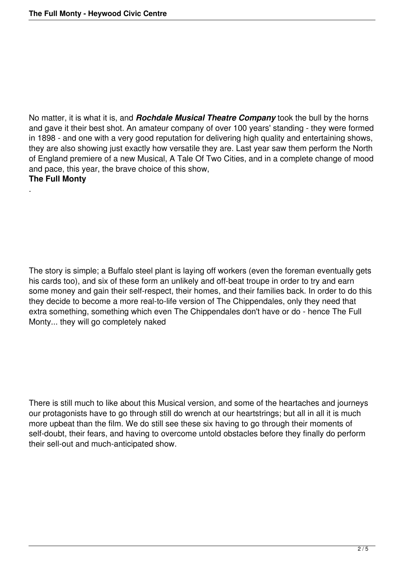.

No matter, it is what it is, and *Rochdale Musical Theatre Company* took the bull by the horns and gave it their best shot. An amateur company of over 100 years' standing - they were formed in 1898 - and one with a very good reputation for delivering high quality and entertaining shows, they are also showing just exactly how versatile they are. Last year saw them perform the North of England premiere of a new Musical, A Tale Of Two Cities, and in a complete change of mood and pace, this year, the brave choice of this show, **The Full Monty**

The story is simple; a Buffalo steel plant is laying off workers (even the foreman eventually gets his cards too), and six of these form an unlikely and off-beat troupe in order to try and earn some money and gain their self-respect, their homes, and their families back. In order to do this they decide to become a more real-to-life version of The Chippendales, only they need that extra something, something which even The Chippendales don't have or do - hence The Full Monty... they will go completely naked

There is still much to like about this Musical version, and some of the heartaches and journeys our protagonists have to go through still do wrench at our heartstrings; but all in all it is much more upbeat than the film. We do still see these six having to go through their moments of self-doubt, their fears, and having to overcome untold obstacles before they finally do perform their sell-out and much-anticipated show.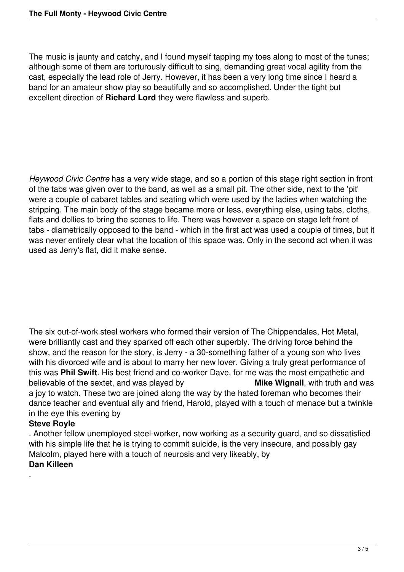The music is jaunty and catchy, and I found myself tapping my toes along to most of the tunes; although some of them are torturously difficult to sing, demanding great vocal agility from the cast, especially the lead role of Jerry. However, it has been a very long time since I heard a band for an amateur show play so beautifully and so accomplished. Under the tight but excellent direction of **Richard Lord** they were flawless and superb.

*Heywood Civic Centre* has a very wide stage, and so a portion of this stage right section in front of the tabs was given over to the band, as well as a small pit. The other side, next to the 'pit' were a couple of cabaret tables and seating which were used by the ladies when watching the stripping. The main body of the stage became more or less, everything else, using tabs, cloths, flats and dollies to bring the scenes to life. There was however a space on stage left front of tabs - diametrically opposed to the band - which in the first act was used a couple of times, but it was never entirely clear what the location of this space was. Only in the second act when it was used as Jerry's flat, did it make sense.

The six out-of-work steel workers who formed their version of The Chippendales, Hot Metal, were brilliantly cast and they sparked off each other superbly. The driving force behind the show, and the reason for the story, is Jerry - a 30-something father of a young son who lives with his divorced wife and is about to marry her new lover. Giving a truly great performance of this was **Phil Swift**. His best friend and co-worker Dave, for me was the most empathetic and believable of the sextet, and was played by **Mike Wignall**, with truth and was a joy to watch. These two are joined along the way by the hated foreman who becomes their dance teacher and eventual ally and friend, Harold, played with a touch of menace but a twinkle in the eye this evening by

## **Steve Royle**

.

. Another fellow unemployed steel-worker, now working as a security guard, and so dissatisfied with his simple life that he is trying to commit suicide, is the very insecure, and possibly gay Malcolm, played here with a touch of neurosis and very likeably, by **Dan Killeen**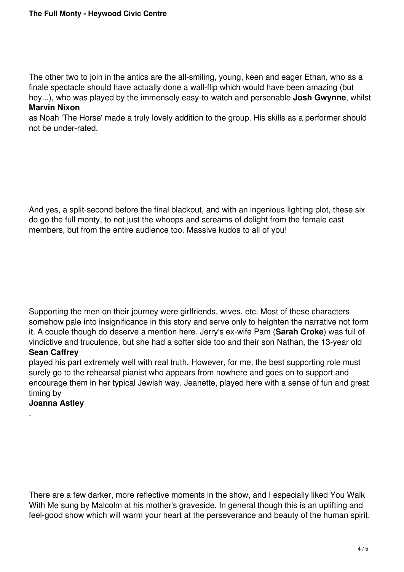The other two to join in the antics are the all-smiling, young, keen and eager Ethan, who as a finale spectacle should have actually done a wall-flip which would have been amazing (but hey...), who was played by the immensely easy-to-watch and personable **Josh Gwynne**, whilst **Marvin Nixon**

as Noah 'The Horse' made a truly lovely addition to the group. His skills as a performer should not be under-rated.

And yes, a split-second before the final blackout, and with an ingenious lighting plot, these six do go the full monty, to not just the whoops and screams of delight from the female cast members, but from the entire audience too. Massive kudos to all of you!

Supporting the men on their journey were girlfriends, wives, etc. Most of these characters somehow pale into insignificance in this story and serve only to heighten the narrative not form it. A couple though do deserve a mention here. Jerry's ex-wife Pam (**Sarah Croke**) was full of vindictive and truculence, but she had a softer side too and their son Nathan, the 13-year old

## **Sean Caffrey**

played his part extremely well with real truth. However, for me, the best supporting role must surely go to the rehearsal pianist who appears from nowhere and goes on to support and encourage them in her typical Jewish way. Jeanette, played here with a sense of fun and great timing by

## **Joanna Astley**

.

There are a few darker, more reflective moments in the show, and I especially liked You Walk With Me sung by Malcolm at his mother's graveside. In general though this is an uplifting and feel-good show which will warm your heart at the perseverance and beauty of the human spirit.